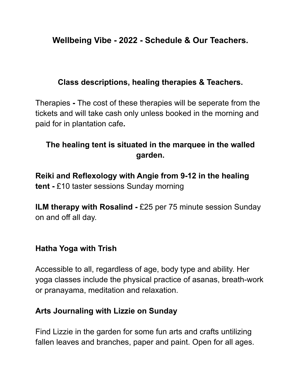# **Wellbeing Vibe - 2022 - Schedule & Our Teachers.**

#### **Class descriptions, healing therapies & Teachers.**

Therapies **-** The cost of these therapies will be seperate from the tickets and will take cash only unless booked in the morning and paid for in plantation cafe**.**

# **The healing tent is situated in the marquee in the walled garden.**

**Reiki and Reflexology with Angie from 9-12 in the healing tent -** £10 taster sessions Sunday morning

**ILM therapy with Rosalind -** £25 per 75 minute session Sunday on and off all day.

#### **Hatha Yoga with Trish**

Accessible to all, regardless of age, body type and ability. Her yoga classes include the physical practice of asanas, breath-work or pranayama, meditation and relaxation.

#### **Arts Journaling with Lizzie on Sunday**

Find Lizzie in the garden for some fun arts and crafts untilizing fallen leaves and branches, paper and paint. Open for all ages.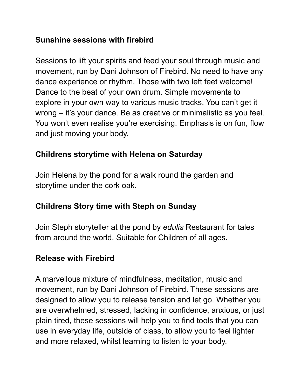#### **Sunshine sessions with firebird**

Sessions to lift your spirits and feed your soul through music and movement, run by Dani Johnson of Firebird. No need to have any dance experience or rhythm. Those with two left feet welcome! Dance to the beat of your own drum. Simple movements to explore in your own way to various music tracks. You can't get it wrong – it's your dance. Be as creative or minimalistic as you feel. You won't even realise you're exercising. Emphasis is on fun, flow and just moving your body.

# **Childrens storytime with Helena on Saturday**

Join Helena by the pond for a walk round the garden and storytime under the cork oak.

## **Childrens Story time with Steph on Sunday**

Join Steph storyteller at the pond by *edulis* Restaurant for tales from around the world. Suitable for Children of all ages.

## **Release with Firebird**

A marvellous mixture of mindfulness, meditation, music and movement, run by Dani Johnson of Firebird. These sessions are designed to allow you to release tension and let go. Whether you are overwhelmed, stressed, lacking in confidence, anxious, or just plain tired, these sessions will help you to find tools that you can use in everyday life, outside of class, to allow you to feel lighter and more relaxed, whilst learning to listen to your body.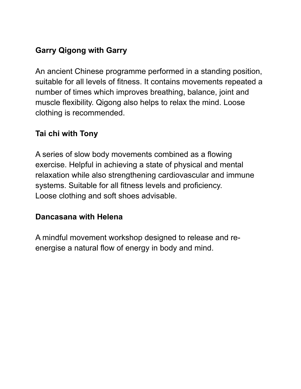# **Garry Qigong with Garry**

An ancient Chinese programme performed in a standing position, suitable for all levels of fitness. It contains movements repeated a number of times which improves breathing, balance, joint and muscle flexibility. Qigong also helps to relax the mind. Loose clothing is recommended.

#### **Tai chi with Tony**

A series of slow body movements combined as a flowing exercise. Helpful in achieving a state of physical and mental relaxation while also strengthening cardiovascular and immune systems. Suitable for all fitness levels and proficiency. Loose clothing and soft shoes advisable.

#### **Dancasana with Helena**

A mindful movement workshop designed to release and reenergise a natural flow of energy in body and mind.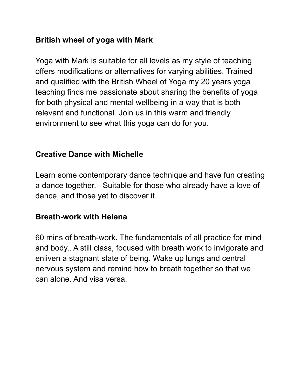#### **British wheel of yoga with Mark**

Yoga with Mark is suitable for all levels as my style of teaching offers modifications or alternatives for varying abilities. Trained and qualified with the British Wheel of Yoga my 20 years yoga teaching finds me passionate about sharing the benefits of yoga for both physical and mental wellbeing in a way that is both relevant and functional. Join us in this warm and friendly environment to see what this yoga can do for you.

## **Creative Dance with Michelle**

Learn some contemporary dance technique and have fun creating a dance together. Suitable for those who already have a love of dance, and those yet to discover it.

#### **Breath-work with Helena**

60 mins of breath-work. The fundamentals of all practice for mind and body.. A still class, focused with breath work to invigorate and enliven a stagnant state of being. Wake up lungs and central nervous system and remind how to breath together so that we can alone. And visa versa.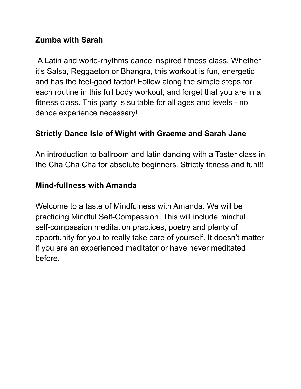#### **Zumba with Sarah**

A Latin and world-rhythms dance inspired fitness class. Whether it's Salsa, Reggaeton or Bhangra, this workout is fun, energetic and has the feel-good factor! Follow along the simple steps for each routine in this full body workout, and forget that you are in a fitness class. This party is suitable for all ages and levels - no dance experience necessary!

# **Strictly Dance Isle of Wight with Graeme and Sarah Jane**

An introduction to ballroom and latin dancing with a Taster class in the Cha Cha Cha for absolute beginners. Strictly fitness and fun!!!

## **Mind-fullness with Amanda**

Welcome to a taste of Mindfulness with Amanda. We will be practicing Mindful Self-Compassion. This will include mindful self-compassion meditation practices, poetry and plenty of opportunity for you to really take care of yourself. It doesn't matter if you are an experienced meditator or have never meditated before.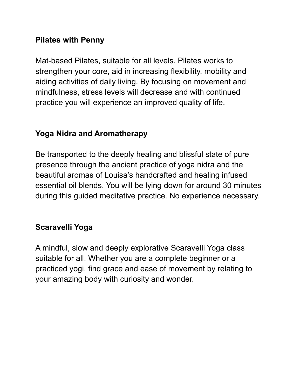#### **Pilates with Penny**

Mat-based Pilates, suitable for all levels. Pilates works to strengthen your core, aid in increasing flexibility, mobility and aiding activities of daily living. By focusing on movement and mindfulness, stress levels will decrease and with continued practice you will experience an improved quality of life.

## **Yoga Nidra and Aromatherapy**

Be transported to the deeply healing and blissful state of pure presence through the ancient practice of yoga nidra and the beautiful aromas of Louisa's handcrafted and healing infused essential oil blends. You will be lying down for around 30 minutes during this guided meditative practice. No experience necessary.

## **Scaravelli Yoga**

A mindful, slow and deeply explorative Scaravelli Yoga class suitable for all. Whether you are a complete beginner or a practiced yogi, find grace and ease of movement by relating to your amazing body with curiosity and wonder.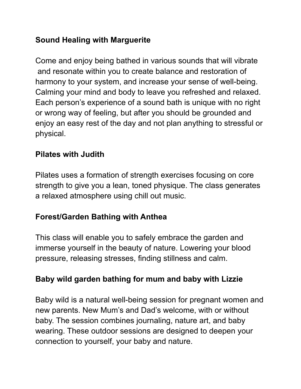## **Sound Healing with Marguerite**

Come and enjoy being bathed in various sounds that will vibrate and resonate within you to create balance and restoration of harmony to your system, and increase your sense of well-being. Calming your mind and body to leave you refreshed and relaxed. Each person's experience of a sound bath is unique with no right or wrong way of feeling, but after you should be grounded and enjoy an easy rest of the day and not plan anything to stressful or physical.

## **Pilates with Judith**

Pilates uses a formation of strength exercises focusing on core strength to give you a lean, toned physique. The class generates a relaxed atmosphere using chill out music.

# **Forest/Garden Bathing with Anthea**

This class will enable you to safely embrace the garden and immerse yourself in the beauty of nature. Lowering your blood pressure, releasing stresses, finding stillness and calm.

## **Baby wild garden bathing for mum and baby with Lizzie**

Baby wild is a natural well-being session for pregnant women and new parents. New Mum's and Dad's welcome, with or without baby. The session combines journaling, nature art, and baby wearing. These outdoor sessions are designed to deepen your connection to yourself, your baby and nature.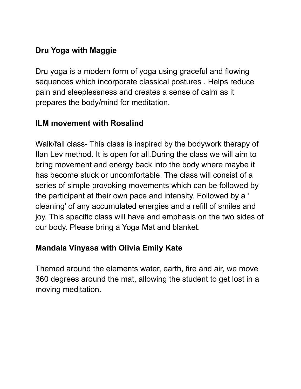# **Dru Yoga with Maggie**

Dru yoga is a modern form of yoga using graceful and flowing sequences which incorporate classical postures . Helps reduce pain and sleeplessness and creates a sense of calm as it prepares the body/mind for meditation.

#### **ILM movement with Rosalind**

Walk/fall class- This class is inspired by the bodywork therapy of Ilan Lev method. It is open for all.During the class we will aim to bring movement and energy back into the body where maybe it has become stuck or uncomfortable. The class will consist of a series of simple provoking movements which can be followed by the participant at their own pace and intensity. Followed by a ' cleaning' of any accumulated energies and a refill of smiles and joy. This specific class will have and emphasis on the two sides of our body. Please bring a Yoga Mat and blanket.

## **Mandala Vinyasa with Olivia Emily Kate**

Themed around the elements water, earth, fire and air, we move 360 degrees around the mat, allowing the student to get lost in a moving meditation.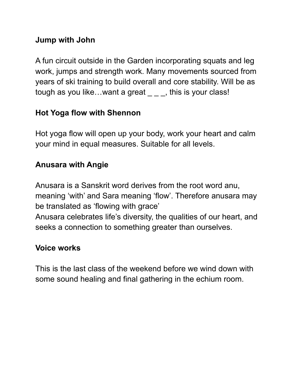#### **Jump with John**

A fun circuit outside in the Garden incorporating squats and leg work, jumps and strength work. Many movements sourced from years of ski training to build overall and core stability. Will be as tough as you like...want a great  $\_\_$   $\_\_$ , this is your class!

# **Hot Yoga flow with Shennon**

Hot yoga flow will open up your body, work your heart and calm your mind in equal measures. Suitable for all levels.

# **Anusara with Angie**

Anusara is a Sanskrit word derives from the root word anu, meaning 'with' and Sara meaning 'flow'. Therefore anusara may be translated as 'flowing with grace' Anusara celebrates life's diversity, the qualities of our heart, and seeks a connection to something greater than ourselves.

# **Voice works**

This is the last class of the weekend before we wind down with some sound healing and final gathering in the echium room.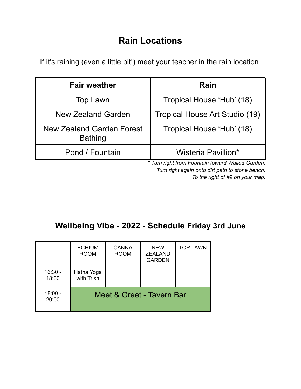# **Rain Locations**

If it's raining (even a little bit!) meet your teacher in the rain location.

| Rain                                            |
|-------------------------------------------------|
| Tropical House 'Hub' (18)                       |
| Tropical House Art Studio (19)                  |
| Tropical House 'Hub' (18)                       |
| Wisteria Pavillion*                             |
| * Turn right from Equatain toward Walled Garden |

*\* Turn right from Fountain toward Walled Garden. Turn right again onto dirt path to stone bench. To the right of #9 on your map.*

# **Wellbeing Vibe - 2022 - Schedule Friday 3rd June**

|                    | <b>ECHIUM</b><br><b>ROOM</b> | <b>CANNA</b><br><b>ROOM</b> | <b>NEW</b><br><b>ZEALAND</b><br><b>GARDEN</b> | <b>TOP LAWN</b> |  |
|--------------------|------------------------------|-----------------------------|-----------------------------------------------|-----------------|--|
| $16:30 -$<br>18:00 | Hatha Yoga<br>with Trish     |                             |                                               |                 |  |
| $18:00 -$<br>20:00 | Meet & Greet - Tavern Bar    |                             |                                               |                 |  |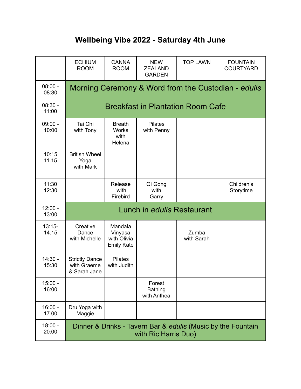# **Wellbeing Vibe 2022 - Saturday 4th June**

|                    | <b>ECHIUM</b><br><b>ROOM</b>                                                         | <b>CANNA</b><br><b>ROOM</b>                            | <b>NEW</b><br><b>ZEALAND</b><br><b>GARDEN</b> | <b>TOP LAWN</b>     | <b>FOUNTAIN</b><br><b>COURTYARD</b> |  |  |
|--------------------|--------------------------------------------------------------------------------------|--------------------------------------------------------|-----------------------------------------------|---------------------|-------------------------------------|--|--|
| $08:00 -$<br>08:30 | Morning Ceremony & Word from the Custodian - edulis                                  |                                                        |                                               |                     |                                     |  |  |
| $08:30 -$<br>11:00 | <b>Breakfast in Plantation Room Cafe</b>                                             |                                                        |                                               |                     |                                     |  |  |
| $09:00 -$<br>10:00 | Tai Chi<br>with Tony                                                                 | <b>Breath</b><br><b>Works</b><br>with<br>Helena        | <b>Pilates</b><br>with Penny                  |                     |                                     |  |  |
| 10:15<br>11.15     | <b>British Wheel</b><br>Yoga<br>with Mark                                            |                                                        |                                               |                     |                                     |  |  |
| 11:30<br>12:30     |                                                                                      | Release<br>with<br>Firebird                            | Qi Gong<br>with<br>Garry                      |                     | Children's<br>Storytime             |  |  |
| $12:00 -$<br>13:00 | Lunch in edulis Restaurant                                                           |                                                        |                                               |                     |                                     |  |  |
| $13:15-$<br>14.15  | Creative<br>Dance<br>with Michelle                                                   | Mandala<br>Vinyasa<br>with Olivia<br><b>Emily Kate</b> |                                               | Zumba<br>with Sarah |                                     |  |  |
| $14:30 -$<br>15:30 | <b>Strictly Dance</b><br>with Graeme<br>& Sarah Jane                                 | <b>Pilates</b><br>with Judith                          |                                               |                     |                                     |  |  |
| $15:00 -$<br>16:00 |                                                                                      |                                                        | Forest<br><b>Bathing</b><br>with Anthea       |                     |                                     |  |  |
| $16:00 -$<br>17.00 | Dru Yoga with<br>Maggie                                                              |                                                        |                                               |                     |                                     |  |  |
| $18:00 -$<br>20:00 | Dinner & Drinks - Tavern Bar & edulis (Music by the Fountain<br>with Ric Harris Duo) |                                                        |                                               |                     |                                     |  |  |